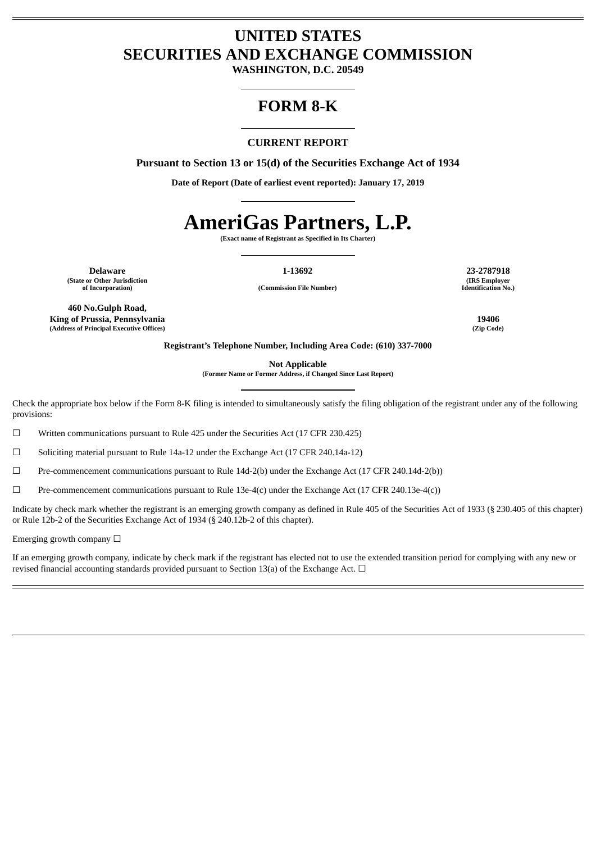# **UNITED STATES SECURITIES AND EXCHANGE COMMISSION**

**WASHINGTON, D.C. 20549**

# **FORM 8-K**

# **CURRENT REPORT**

**Pursuant to Section 13 or 15(d) of the Securities Exchange Act of 1934**

**Date of Report (Date of earliest event reported): January 17, 2019**

# **AmeriGas Partners, L.P.**

**(Exact name of Registrant as Specified in Its Charter)**

**Delaware 1-13692 23-2787918 (State or Other Jurisdiction**

**of Incorporation) (Commission File Number)**

**(IRS Employer Identification No.)**

**460 No.Gulph Road, King of Prussia, Pennsylvania 19406 (Address of Principal Executive Offices) (Zip Code)**

**Registrant's Telephone Number, Including Area Code: (610) 337-7000**

**Not Applicable**

**(Former Name or Former Address, if Changed Since Last Report)**

Check the appropriate box below if the Form 8-K filing is intended to simultaneously satisfy the filing obligation of the registrant under any of the following provisions:

☐ Written communications pursuant to Rule 425 under the Securities Act (17 CFR 230.425)

☐ Soliciting material pursuant to Rule 14a-12 under the Exchange Act (17 CFR 240.14a-12)

☐ Pre-commencement communications pursuant to Rule 14d-2(b) under the Exchange Act (17 CFR 240.14d-2(b))

☐ Pre-commencement communications pursuant to Rule 13e-4(c) under the Exchange Act (17 CFR 240.13e-4(c))

Indicate by check mark whether the registrant is an emerging growth company as defined in Rule 405 of the Securities Act of 1933 (§ 230.405 of this chapter) or Rule 12b-2 of the Securities Exchange Act of 1934 (§ 240.12b-2 of this chapter).

Emerging growth company  $\Box$ 

If an emerging growth company, indicate by check mark if the registrant has elected not to use the extended transition period for complying with any new or revised financial accounting standards provided pursuant to Section 13(a) of the Exchange Act.  $\Box$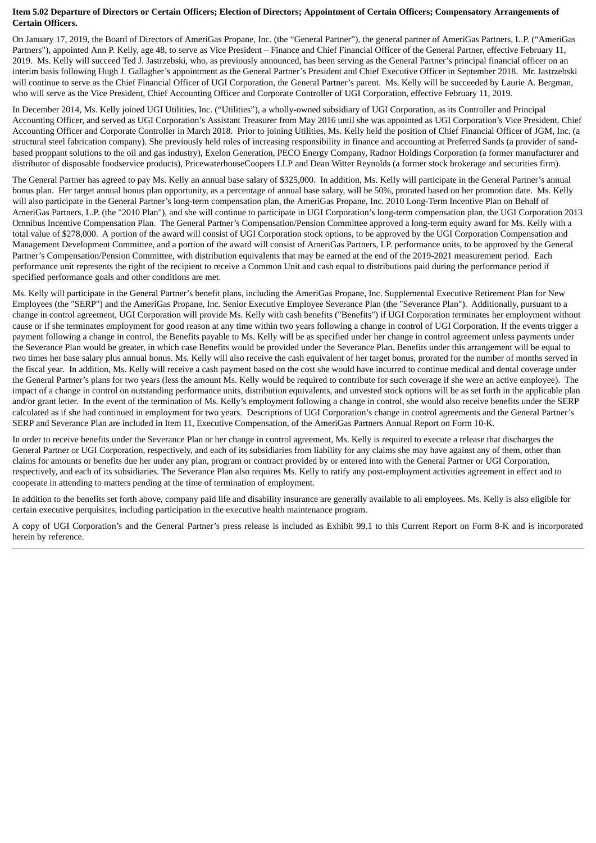# Item 5.02 Departure of Directors or Certain Officers; Election of Directors; Appointment of Certain Officers; Compensatory Arrangements of **Certain Officers.**

On January 17, 2019, the Board of Directors of AmeriGas Propane, Inc. (the "General Partner"), the general partner of AmeriGas Partners, L.P. ("AmeriGas Partners"), appointed Ann P. Kelly, age 48, to serve as Vice President – Finance and Chief Financial Officer of the General Partner, effective February 11, 2019. Ms. Kelly will succeed Ted J. Jastrzebski, who, as previously announced, has been serving as the General Partner's principal financial officer on an interim basis following Hugh J. Gallagher's appointment as the General Partner's President and Chief Executive Officer in September 2018. Mr. Jastrzebski will continue to serve as the Chief Financial Officer of UGI Corporation, the General Partner's parent. Ms. Kelly will be succeeded by Laurie A. Bergman, who will serve as the Vice President, Chief Accounting Officer and Corporate Controller of UGI Corporation, effective February 11, 2019.

In December 2014, Ms. Kelly joined UGI Utilities, Inc. ("Utilities"), a wholly-owned subsidiary of UGI Corporation, as its Controller and Principal Accounting Officer, and served as UGI Corporation's Assistant Treasurer from May 2016 until she was appointed as UGI Corporation's Vice President, Chief Accounting Officer and Corporate Controller in March 2018. Prior to joining Utilities, Ms. Kelly held the position of Chief Financial Officer of JGM, Inc. (a structural steel fabrication company). She previously held roles of increasing responsibility in finance and accounting at Preferred Sands (a provider of sandbased proppant solutions to the oil and gas industry), Exelon Generation, PECO Energy Company, Radnor Holdings Corporation (a former manufacturer and distributor of disposable foodservice products), PricewaterhouseCoopers LLP and Dean Witter Reynolds (a former stock brokerage and securities firm).

The General Partner has agreed to pay Ms. Kelly an annual base salary of \$325,000. In addition, Ms. Kelly will participate in the General Partner's annual bonus plan. Her target annual bonus plan opportunity, as a percentage of annual base salary, will be 50%, prorated based on her promotion date. Ms. Kelly will also participate in the General Partner's long-term compensation plan, the AmeriGas Propane, Inc. 2010 Long-Term Incentive Plan on Behalf of AmeriGas Partners, L.P. (the "2010 Plan"), and she will continue to participate in UGI Corporation's long-term compensation plan, the UGI Corporation 2013 Omnibus Incentive Compensation Plan. The General Partner's Compensation/Pension Committee approved a long-term equity award for Ms. Kelly with a total value of \$278,000. A portion of the award will consist of UGI Corporation stock options, to be approved by the UGI Corporation Compensation and Management Development Committee, and a portion of the award will consist of AmeriGas Partners, LP. performance units, to be approved by the General Partner's Compensation/Pension Committee, with distribution equivalents that may be earned at the end of the 2019-2021 measurement period. Each performance unit represents the right of the recipient to receive a Common Unit and cash equal to distributions paid during the performance period if specified performance goals and other conditions are met.

Ms. Kelly will participate in the General Partner's benefit plans, including the AmeriGas Propane, Inc. Supplemental Executive Retirement Plan for New Employees (the "SERP") and the AmeriGas Propane, Inc. Senior Executive Employee Severance Plan (the "Severance Plan"). Additionally, pursuant to a change in control agreement, UGI Corporation will provide Ms. Kelly with cash benefits ("Benefits") if UGI Corporation terminates her employment without cause or if she terminates employment for good reason at any time within two years following a change in control of UGI Corporation. If the events trigger a payment following a change in control, the Benefits payable to Ms. Kelly will be as specified under her change in control agreement unless payments under the Severance Plan would be greater, in which case Benefits would be provided under the Severance Plan. Benefits under this arrangement will be equal to two times her base salary plus annual bonus. Ms. Kelly will also receive the cash equivalent of her target bonus, prorated for the number of months served in the fiscal year. In addition, Ms. Kelly will receive a cash payment based on the cost she would have incurred to continue medical and dental coverage under the General Partner's plans for two years (less the amount Ms. Kelly would be required to contribute for such coverage if she were an active employee). The impact of a change in control on outstanding performance units, distribution equivalents, and unvested stock options will be as set forth in the applicable plan and/or grant letter. In the event of the termination of Ms. Kelly's employment following a change in control, she would also receive benefits under the SERP calculated as if she had continued in employment for two years. Descriptions of UGI Corporation's change in control agreements and the General Partner's SERP and Severance Plan are included in Item 11, Executive Compensation, of the AmeriGas Partners Annual Report on Form 10-K.

In order to receive benefits under the Severance Plan or her change in control agreement, Ms. Kelly is required to execute a release that discharges the General Partner or UGI Corporation, respectively, and each of its subsidiaries from liability for any claims she may have against any of them, other than claims for amounts or benefits due her under any plan, program or contract provided by or entered into with the General Partner or UGI Corporation, respectively, and each of its subsidiaries. The Severance Plan also requires Ms. Kelly to ratify any post-employment activities agreement in effect and to cooperate in attending to matters pending at the time of termination of employment.

In addition to the benefits set forth above, company paid life and disability insurance are generally available to all employees. Ms. Kelly is also eligible for certain executive perquisites, including participation in the executive health maintenance program.

A copy of UGI Corporation's and the General Partner's press release is included as Exhibit 99.1 to this Current Report on Form 8-K and is incorporated herein by reference.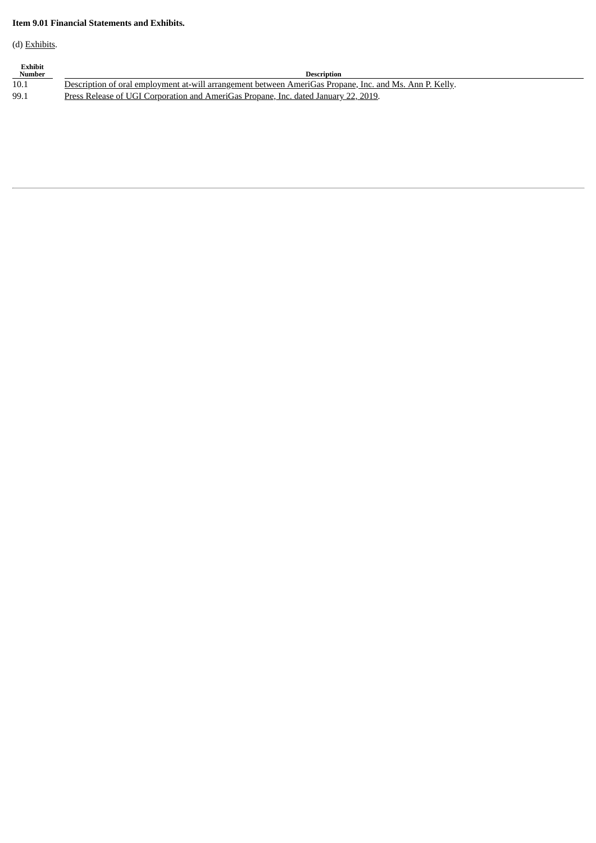# **Item 9.01 Financial Statements and Exhibits.**

(d) Exhibits.

| Exhibit<br><b>Number</b> | <b>Description</b>                                                                                      |
|--------------------------|---------------------------------------------------------------------------------------------------------|
| 10.1                     | Description of oral employment at-will arrangement between AmeriGas Propane, Inc. and Ms. Ann P. Kelly. |
| 99.1                     | Press Release of UGI Corporation and AmeriGas Propane, Inc. dated January 22, 2019.                     |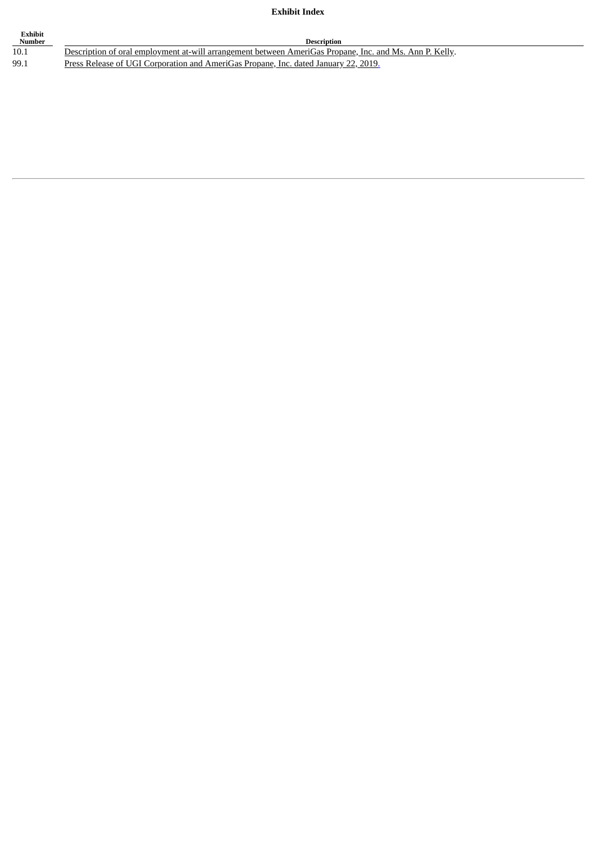# **Exhibit Index**

| Exhibit<br>Number | <b>Description</b>                                                                                      |
|-------------------|---------------------------------------------------------------------------------------------------------|
| 10.1              | Description of oral employment at-will arrangement between AmeriGas Propane, Inc. and Ms. Ann P. Kelly. |
| 99.1              | Press Release of UGI Corporation and AmeriGas Propane, Inc. dated January 22, 2019.                     |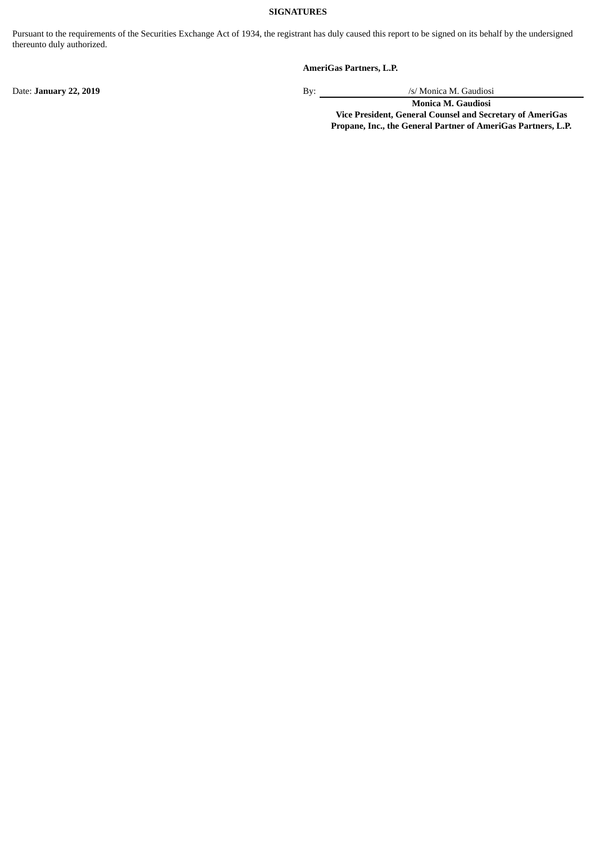# **SIGNATURES**

Pursuant to the requirements of the Securities Exchange Act of 1934, the registrant has duly caused this report to be signed on its behalf by the undersigned thereunto duly authorized.

# **AmeriGas Partners, L.P.**

Date: **January 22, 2019** By: /s/ Monica M. Gaudiosi

**Monica M. Gaudiosi Vice President, General Counsel and Secretary of AmeriGas Propane, Inc., the General Partner of AmeriGas Partners, L.P.**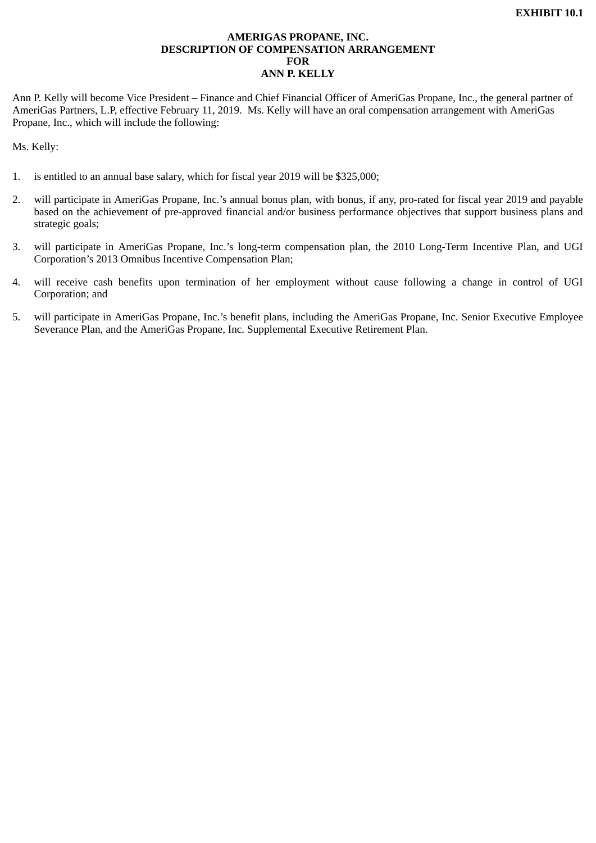# **AMERIGAS PROPANE, INC. DESCRIPTION OF COMPENSATION ARRANGEMENT FOR ANN P. KELLY**

<span id="page-5-0"></span>Ann P. Kelly will become Vice President – Finance and Chief Financial Officer of AmeriGas Propane, Inc., the general partner of AmeriGas Partners, L.P, effective February 11, 2019. Ms. Kelly will have an oral compensation arrangement with AmeriGas Propane, Inc., which will include the following:

Ms. Kelly:

- 1. is entitled to an annual base salary, which for fiscal year 2019 will be \$325,000;
- 2. will participate in AmeriGas Propane, Inc.'s annual bonus plan, with bonus, if any, pro-rated for fiscal year 2019 and payable based on the achievement of pre-approved financial and/or business performance objectives that support business plans and strategic goals;
- 3. will participate in AmeriGas Propane, Inc.'s long-term compensation plan, the 2010 Long-Term Incentive Plan, and UGI Corporation's 2013 Omnibus Incentive Compensation Plan;
- 4. will receive cash benefits upon termination of her employment without cause following a change in control of UGI Corporation; and
- 5. will participate in AmeriGas Propane, Inc.'s benefit plans, including the AmeriGas Propane, Inc. Senior Executive Employee Severance Plan, and the AmeriGas Propane, Inc. Supplemental Executive Retirement Plan.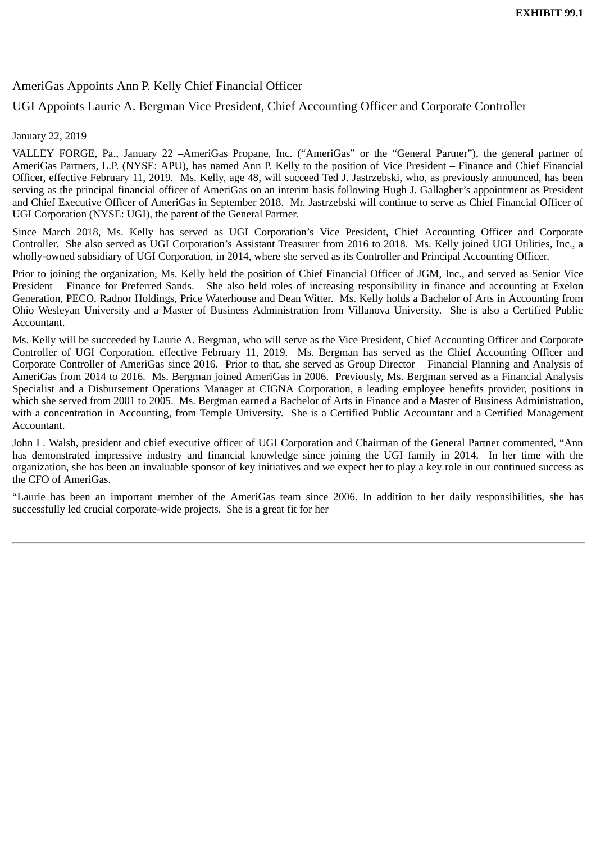# <span id="page-6-0"></span>AmeriGas Appoints Ann P. Kelly Chief Financial Officer

# UGI Appoints Laurie A. Bergman Vice President, Chief Accounting Officer and Corporate Controller

# January 22, 2019

VALLEY FORGE, Pa., January 22 –AmeriGas Propane, Inc. ("AmeriGas" or the "General Partner"), the general partner of AmeriGas Partners, L.P. (NYSE: APU), has named Ann P. Kelly to the position of Vice President – Finance and Chief Financial Officer, effective February 11, 2019. Ms. Kelly, age 48, will succeed Ted J. Jastrzebski, who, as previously announced, has been serving as the principal financial officer of AmeriGas on an interim basis following Hugh J. Gallagher's appointment as President and Chief Executive Officer of AmeriGas in September 2018. Mr. Jastrzebski will continue to serve as Chief Financial Officer of UGI Corporation (NYSE: UGI), the parent of the General Partner.

Since March 2018, Ms. Kelly has served as UGI Corporation's Vice President, Chief Accounting Officer and Corporate Controller. She also served as UGI Corporation's Assistant Treasurer from 2016 to 2018. Ms. Kelly joined UGI Utilities, Inc., a wholly-owned subsidiary of UGI Corporation, in 2014, where she served as its Controller and Principal Accounting Officer.

Prior to joining the organization, Ms. Kelly held the position of Chief Financial Officer of JGM, Inc., and served as Senior Vice President – Finance for Preferred Sands. She also held roles of increasing responsibility in finance and accounting at Exelon Generation, PECO, Radnor Holdings, Price Waterhouse and Dean Witter. Ms. Kelly holds a Bachelor of Arts in Accounting from Ohio Wesleyan University and a Master of Business Administration from Villanova University. She is also a Certified Public Accountant.

Ms. Kelly will be succeeded by Laurie A. Bergman, who will serve as the Vice President, Chief Accounting Officer and Corporate Controller of UGI Corporation, effective February 11, 2019. Ms. Bergman has served as the Chief Accounting Officer and Corporate Controller of AmeriGas since 2016. Prior to that, she served as Group Director – Financial Planning and Analysis of AmeriGas from 2014 to 2016. Ms. Bergman joined AmeriGas in 2006. Previously, Ms. Bergman served as a Financial Analysis Specialist and a Disbursement Operations Manager at CIGNA Corporation, a leading employee benefits provider, positions in which she served from 2001 to 2005. Ms. Bergman earned a Bachelor of Arts in Finance and a Master of Business Administration, with a concentration in Accounting, from Temple University. She is a Certified Public Accountant and a Certified Management Accountant.

John L. Walsh, president and chief executive officer of UGI Corporation and Chairman of the General Partner commented, "Ann has demonstrated impressive industry and financial knowledge since joining the UGI family in 2014. In her time with the organization, she has been an invaluable sponsor of key initiatives and we expect her to play a key role in our continued success as the CFO of AmeriGas.

"Laurie has been an important member of the AmeriGas team since 2006. In addition to her daily responsibilities, she has successfully led crucial corporate-wide projects. She is a great fit for her